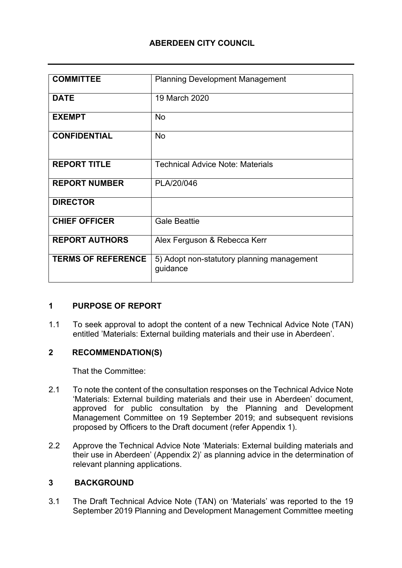## **ABERDEEN CITY COUNCIL**

| <b>COMMITTEE</b>          | <b>Planning Development Management</b>                 |
|---------------------------|--------------------------------------------------------|
| <b>DATE</b>               | 19 March 2020                                          |
| <b>EXEMPT</b>             | <b>No</b>                                              |
| <b>CONFIDENTIAL</b>       | <b>No</b>                                              |
| <b>REPORT TITLE</b>       | <b>Technical Advice Note: Materials</b>                |
| <b>REPORT NUMBER</b>      | PLA/20/046                                             |
| <b>DIRECTOR</b>           |                                                        |
| <b>CHIEF OFFICER</b>      | <b>Gale Beattie</b>                                    |
| <b>REPORT AUTHORS</b>     | Alex Ferguson & Rebecca Kerr                           |
| <b>TERMS OF REFERENCE</b> | 5) Adopt non-statutory planning management<br>guidance |

### **1 PURPOSE OF REPORT**

1.1 To seek approval to adopt the content of a new Technical Advice Note (TAN) entitled 'Materials: External building materials and their use in Aberdeen'.

### **2 RECOMMENDATION(S)**

That the Committee:

- 2.1 To note the content of the consultation responses on the Technical Advice Note 'Materials: External building materials and their use in Aberdeen' document, approved for public consultation by the Planning and Development Management Committee on 19 September 2019; and subsequent revisions proposed by Officers to the Draft document (refer Appendix 1).
- 2.2 Approve the Technical Advice Note 'Materials: External building materials and their use in Aberdeen' (Appendix 2)' as planning advice in the determination of relevant planning applications.

## **3 BACKGROUND**

3.1 The Draft Technical Advice Note (TAN) on 'Materials' was reported to the 19 September 2019 Planning and Development Management Committee meeting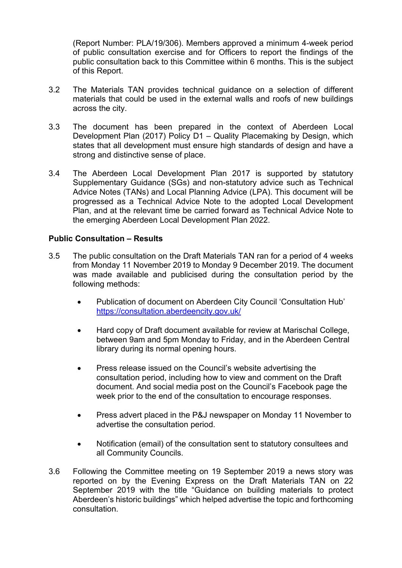(Report Number: PLA/19/306). Members approved a minimum 4-week period of public consultation exercise and for Officers to report the findings of the public consultation back to this Committee within 6 months. This is the subject of this Report.

- 3.2 The Materials TAN provides technical guidance on a selection of different materials that could be used in the external walls and roofs of new buildings across the city.
- 3.3 The document has been prepared in the context of Aberdeen Local Development Plan (2017) Policy D1 – Quality Placemaking by Design, which states that all development must ensure high standards of design and have a strong and distinctive sense of place.
- 3.4 The Aberdeen Local Development Plan 2017 is supported by statutory Supplementary Guidance (SGs) and non-statutory advice such as Technical Advice Notes (TANs) and Local Planning Advice (LPA). This document will be progressed as a Technical Advice Note to the adopted Local Development Plan, and at the relevant time be carried forward as Technical Advice Note to the emerging Aberdeen Local Development Plan 2022.

### **Public Consultation – Results**

- 3.5 The public consultation on the Draft Materials TAN ran for a period of 4 weeks from Monday 11 November 2019 to Monday 9 December 2019. The document was made available and publicised during the consultation period by the following methods:
	- Publication of document on Aberdeen City Council 'Consultation Hub' <https://consultation.aberdeencity.gov.uk/>
	- Hard copy of Draft document available for review at Marischal College, between 9am and 5pm Monday to Friday, and in the Aberdeen Central library during its normal opening hours.
	- Press release issued on the Council's website advertising the consultation period, including how to view and comment on the Draft document. And social media post on the Council's Facebook page the week prior to the end of the consultation to encourage responses.
	- Press advert placed in the P&J newspaper on Monday 11 November to advertise the consultation period.
	- Notification (email) of the consultation sent to statutory consultees and all Community Councils.
- 3.6 Following the Committee meeting on 19 September 2019 a news story was reported on by the Evening Express on the Draft Materials TAN on 22 September 2019 with the title "Guidance on building materials to protect Aberdeen's historic buildings" which helped advertise the topic and forthcoming consultation.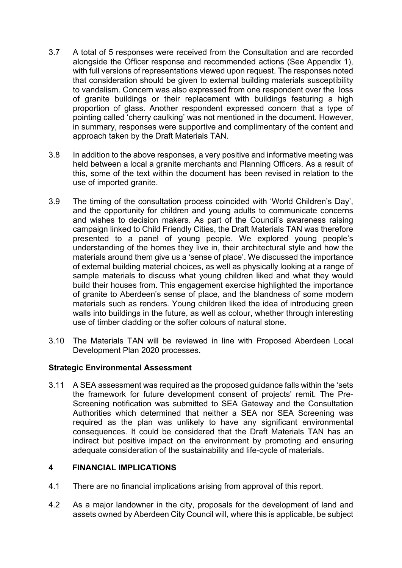- 3.7 A total of 5 responses were received from the Consultation and are recorded alongside the Officer response and recommended actions (See Appendix 1), with full versions of representations viewed upon request. The responses noted that consideration should be given to external building materials susceptibility to vandalism. Concern was also expressed from one respondent over the loss of granite buildings or their replacement with buildings featuring a high proportion of glass. Another respondent expressed concern that a type of pointing called 'cherry caulking' was not mentioned in the document. However, in summary, responses were supportive and complimentary of the content and approach taken by the Draft Materials TAN.
- 3.8 In addition to the above responses, a very positive and informative meeting was held between a local a granite merchants and Planning Officers. As a result of this, some of the text within the document has been revised in relation to the use of imported granite.
- 3.9 The timing of the consultation process coincided with 'World Children's Day', and the opportunity for children and young adults to communicate concerns and wishes to decision makers. As part of the Council's awareness raising campaign linked to Child Friendly Cities, the Draft Materials TAN was therefore presented to a panel of young people. We explored young people's understanding of the homes they live in, their architectural style and how the materials around them give us a 'sense of place'. We discussed the importance of external building material choices, as well as physically looking at a range of sample materials to discuss what young children liked and what they would build their houses from. This engagement exercise highlighted the importance of granite to Aberdeen's sense of place, and the blandness of some modern materials such as renders. Young children liked the idea of introducing green walls into buildings in the future, as well as colour, whether through interesting use of timber cladding or the softer colours of natural stone.
- 3.10 The Materials TAN will be reviewed in line with Proposed Aberdeen Local Development Plan 2020 processes.

### **Strategic Environmental Assessment**

3.11 A SEA assessment was required as the proposed guidance falls within the 'sets the framework for future development consent of projects' remit. The Pre-Screening notification was submitted to SEA Gateway and the Consultation Authorities which determined that neither a SEA nor SEA Screening was required as the plan was unlikely to have any significant environmental consequences. It could be considered that the Draft Materials TAN has an indirect but positive impact on the environment by promoting and ensuring adequate consideration of the sustainability and life-cycle of materials.

## **4 FINANCIAL IMPLICATIONS**

- 4.1 There are no financial implications arising from approval of this report.
- 4.2 As a major landowner in the city, proposals for the development of land and assets owned by Aberdeen City Council will, where this is applicable, be subject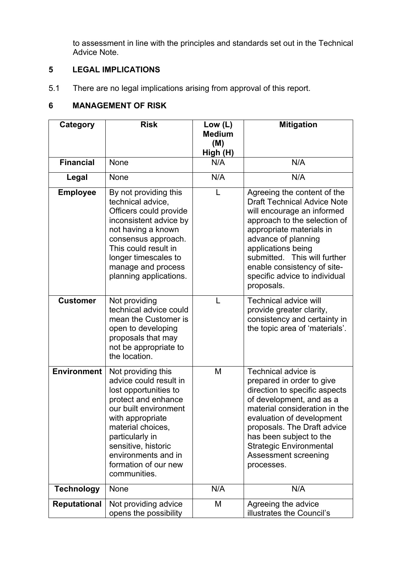to assessment in line with the principles and standards set out in the Technical Advice Note.

# **5 LEGAL IMPLICATIONS**

5.1 There are no legal implications arising from approval of this report.

# **6 MANAGEMENT OF RISK**

| Category            | <b>Risk</b>                                                                                                                                                                                                                                                             | Low $(L)$            | <b>Mitigation</b>                                                                                                                                                                                                                                                                                                      |
|---------------------|-------------------------------------------------------------------------------------------------------------------------------------------------------------------------------------------------------------------------------------------------------------------------|----------------------|------------------------------------------------------------------------------------------------------------------------------------------------------------------------------------------------------------------------------------------------------------------------------------------------------------------------|
|                     |                                                                                                                                                                                                                                                                         | <b>Medium</b><br>(M) |                                                                                                                                                                                                                                                                                                                        |
|                     |                                                                                                                                                                                                                                                                         | High (H)             |                                                                                                                                                                                                                                                                                                                        |
| <b>Financial</b>    | None                                                                                                                                                                                                                                                                    | N/A                  | N/A                                                                                                                                                                                                                                                                                                                    |
| Legal               | None                                                                                                                                                                                                                                                                    | N/A                  | N/A                                                                                                                                                                                                                                                                                                                    |
| <b>Employee</b>     | By not providing this<br>technical advice,<br>Officers could provide<br>inconsistent advice by<br>not having a known<br>consensus approach.<br>This could result in<br>longer timescales to<br>manage and process<br>planning applications.                             |                      | Agreeing the content of the<br><b>Draft Technical Advice Note</b><br>will encourage an informed<br>approach to the selection of<br>appropriate materials in<br>advance of planning<br>applications being<br>submitted. This will further<br>enable consistency of site-<br>specific advice to individual<br>proposals. |
| <b>Customer</b>     | Not providing<br>technical advice could<br>mean the Customer is<br>open to developing<br>proposals that may<br>not be appropriate to<br>the location.                                                                                                                   | L                    | <b>Technical advice will</b><br>provide greater clarity,<br>consistency and certainty in<br>the topic area of 'materials'.                                                                                                                                                                                             |
| <b>Environment</b>  | Not providing this<br>advice could result in<br>lost opportunities to<br>protect and enhance<br>our built environment<br>with appropriate<br>material choices.<br>particularly in<br>sensitive, historic<br>environments and in<br>formation of our new<br>communities. | M                    | Technical advice is<br>prepared in order to give<br>direction to specific aspects<br>of development, and as a<br>material consideration in the<br>evaluation of development<br>proposals. The Draft advice<br>has been subject to the<br><b>Strategic Environmental</b><br>Assessment screening<br>processes.          |
| <b>Technology</b>   | None                                                                                                                                                                                                                                                                    | N/A                  | N/A                                                                                                                                                                                                                                                                                                                    |
| <b>Reputational</b> | Not providing advice<br>opens the possibility                                                                                                                                                                                                                           | M                    | Agreeing the advice<br>illustrates the Council's                                                                                                                                                                                                                                                                       |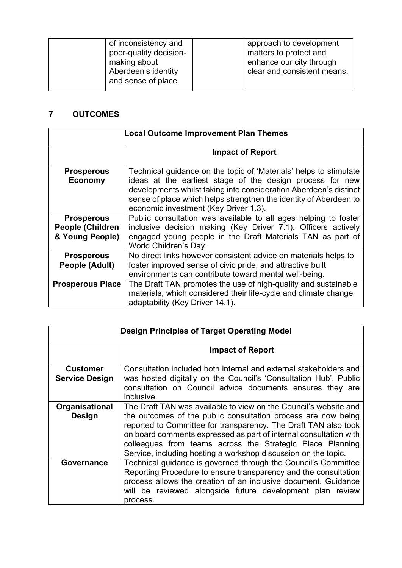| of inconsistency and   | approach to development     |
|------------------------|-----------------------------|
| poor-quality decision- | matters to protect and      |
| making about           | enhance our city through    |
| Aberdeen's identity    | clear and consistent means. |
| and sense of place.    |                             |

# **7 OUTCOMES**

| <b>Local Outcome Improvement Plan Themes</b>                    |                                                                                                                                                                                                                                                                                                                   |
|-----------------------------------------------------------------|-------------------------------------------------------------------------------------------------------------------------------------------------------------------------------------------------------------------------------------------------------------------------------------------------------------------|
|                                                                 | <b>Impact of Report</b>                                                                                                                                                                                                                                                                                           |
| <b>Prosperous</b><br><b>Economy</b>                             | Technical guidance on the topic of 'Materials' helps to stimulate<br>ideas at the earliest stage of the design process for new<br>developments whilst taking into consideration Aberdeen's distinct<br>sense of place which helps strengthen the identity of Aberdeen to<br>economic investment (Key Driver 1.3). |
| <b>Prosperous</b><br><b>People (Children</b><br>& Young People) | Public consultation was available to all ages helping to foster<br>inclusive decision making (Key Driver 7.1). Officers actively<br>engaged young people in the Draft Materials TAN as part of<br>World Children's Day.                                                                                           |
| <b>Prosperous</b><br>People (Adult)                             | No direct links however consistent advice on materials helps to<br>foster improved sense of civic pride, and attractive built<br>environments can contribute toward mental well-being.                                                                                                                            |
| <b>Prosperous Place</b>                                         | The Draft TAN promotes the use of high-quality and sustainable<br>materials, which considered their life-cycle and climate change<br>adaptability (Key Driver 14.1).                                                                                                                                              |

| <b>Design Principles of Target Operating Model</b> |                                                                                                                                                                                                                                                                                                                                                                                                          |
|----------------------------------------------------|----------------------------------------------------------------------------------------------------------------------------------------------------------------------------------------------------------------------------------------------------------------------------------------------------------------------------------------------------------------------------------------------------------|
|                                                    | <b>Impact of Report</b>                                                                                                                                                                                                                                                                                                                                                                                  |
| <b>Customer</b><br><b>Service Design</b>           | Consultation included both internal and external stakeholders and<br>was hosted digitally on the Council's 'Consultation Hub'. Public<br>consultation on Council advice documents ensures they are<br>inclusive.                                                                                                                                                                                         |
| Organisational<br><b>Design</b>                    | The Draft TAN was available to view on the Council's website and<br>the outcomes of the public consultation process are now being<br>reported to Committee for transparency. The Draft TAN also took<br>on board comments expressed as part of internal consultation with<br>colleagues from teams across the Strategic Place Planning<br>Service, including hosting a workshop discussion on the topic. |
| Governance                                         | Technical guidance is governed through the Council's Committee<br>Reporting Procedure to ensure transparency and the consultation<br>process allows the creation of an inclusive document. Guidance<br>will be reviewed alongside future development plan review<br>process.                                                                                                                             |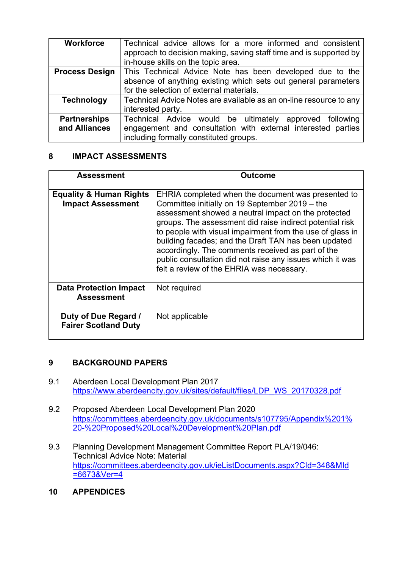| <b>Workforce</b>      | Technical advice allows for a more informed and consistent<br>approach to decision making, saving staff time and is supported by<br>in-house skills on the topic area. |
|-----------------------|------------------------------------------------------------------------------------------------------------------------------------------------------------------------|
| <b>Process Design</b> | This Technical Advice Note has been developed due to the                                                                                                               |
|                       | absence of anything existing which sets out general parameters                                                                                                         |
|                       | for the selection of external materials.                                                                                                                               |
| <b>Technology</b>     | Technical Advice Notes are available as an on-line resource to any                                                                                                     |
|                       | interested party.                                                                                                                                                      |
| <b>Partnerships</b>   | Technical Advice would be ultimately approved following                                                                                                                |
| and Alliances         | engagement and consultation with external interested parties                                                                                                           |
|                       | including formally constituted groups.                                                                                                                                 |

### **8 IMPACT ASSESSMENTS**

| Assessment                                                     | Outcome                                                                                                                                                                                                                                                                                                                                                                                                                                                                                                     |
|----------------------------------------------------------------|-------------------------------------------------------------------------------------------------------------------------------------------------------------------------------------------------------------------------------------------------------------------------------------------------------------------------------------------------------------------------------------------------------------------------------------------------------------------------------------------------------------|
| <b>Equality &amp; Human Rights</b><br><b>Impact Assessment</b> | EHRIA completed when the document was presented to<br>Committee initially on 19 September 2019 – the<br>assessment showed a neutral impact on the protected<br>groups. The assessment did raise indirect potential risk<br>to people with visual impairment from the use of glass in<br>building facades; and the Draft TAN has been updated<br>accordingly. The comments received as part of the<br>public consultation did not raise any issues which it was<br>felt a review of the EHRIA was necessary. |
| <b>Data Protection Impact</b><br><b>Assessment</b>             | Not required                                                                                                                                                                                                                                                                                                                                                                                                                                                                                                |
| Duty of Due Regard /<br><b>Fairer Scotland Duty</b>            | Not applicable                                                                                                                                                                                                                                                                                                                                                                                                                                                                                              |

## **9 BACKGROUND PAPERS**

- 9.1 Aberdeen Local Development Plan 2017 [https://www.aberdeencity.gov.uk/sites/default/files/LDP\\_WS\\_20170328.pdf](https://www.aberdeencity.gov.uk/sites/default/files/LDP_WS_20170328.pdf)
- 9.2 Proposed Aberdeen Local Development Plan 2020 [https://committees.aberdeencity.gov.uk/documents/s107795/Appendix%201%](https://committees.aberdeencity.gov.uk/documents/s107795/Appendix%201%20-%20Proposed%20Local%20Development%20Plan.pdf) [20-%20Proposed%20Local%20Development%20Plan.pdf](https://committees.aberdeencity.gov.uk/documents/s107795/Appendix%201%20-%20Proposed%20Local%20Development%20Plan.pdf)
- 9.3 Planning Development Management Committee Report PLA/19/046: Technical Advice Note: Material [https://committees.aberdeencity.gov.uk/ieListDocuments.aspx?CId=348&MId](https://committees.aberdeencity.gov.uk/ieListDocuments.aspx?CId=348&MId=6673&Ver=4) [=6673&Ver=4](https://committees.aberdeencity.gov.uk/ieListDocuments.aspx?CId=348&MId=6673&Ver=4)
- **10 APPENDICES**